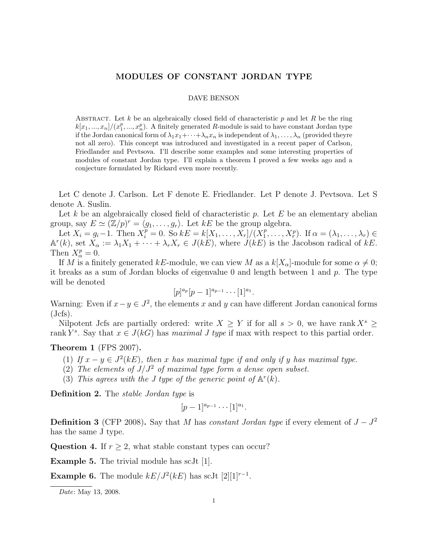## MODULES OF CONSTANT JORDAN TYPE

## DAVE BENSON

ABSTRACT. Let k be an algebraically closed field of characteristic  $p$  and let  $R$  be the ring  $k[x_1, ..., x_n]/(x_1^p, ..., x_n^p)$ . A finitely generated R-module is said to have constant Jordan type if the Jordan canonical form of  $\lambda_1x_1+\cdots+\lambda_nx_n$  is independent of  $\lambda_1,\ldots,\lambda_n$  (provided theyre not all zero). This concept was introduced and investigated in a recent paper of Carlson, Friedlander and Pevtsova. I'll describe some examples and some interesting properties of modules of constant Jordan type. I'll explain a theorem I proved a few weeks ago and a conjecture formulated by Rickard even more recently.

Let C denote J. Carlson. Let F denote E. Friedlander. Let P denote J. Pevtsova. Let S denote A. Suslin.

Let k be an algebraically closed field of characteristic p. Let  $E$  be an elementary abelian group, say  $E \simeq (\mathbb{Z}/p)^r = \langle g_1, \ldots, g_r \rangle$ . Let  $kE$  be the group algebra.

Let  $X_i = g_i - 1$ . Then  $X_i^p = 0$ . So  $kE = k[X_1, \ldots, X_r]/(X_1^p)$  $\overline{X}_1^p, \ldots, X_r^p$ . If  $\alpha = (\lambda_1, \ldots, \lambda_r) \in$  $\mathbb{A}^r(k)$ , set  $X_\alpha := \lambda_1 X_1 + \cdots + \lambda_r X_r \in J(kE)$ , where  $J(kE)$  is the Jacobson radical of kE. Then  $X^p_\alpha = 0$ .

If M is a finitely generated kE-module, we can view M as a  $k[X_{\alpha}]$ -module for some  $\alpha \neq 0$ ; it breaks as a sum of Jordan blocks of eigenvalue 0 and length between 1 and  $p$ . The type will be denoted

$$
[p]^{a_p}[p-1]^{a_{p-1}}\cdots[1]^{a_1}.
$$

Warning: Even if  $x - y \in J^2$ , the elements x and y can have different Jordan canonical forms  $(Jcfs).$ 

Nilpotent Jcfs are partially ordered: write  $X \geq Y$  if for all  $s > 0$ , we have rank  $X^s \geq Y$ rank  $Y^s$ . Say that  $x \in J(kG)$  has maximal J type if max with respect to this partial order.

## Theorem 1 (FPS 2007).

- (1) If  $x y \in J^2(kE)$ , then x has maximal type if and only if y has maximal type.
- (2) The elements of  $J/J^2$  of maximal type form a dense open subset.
- (3) This agrees with the J type of the generic point of  $\mathbb{A}^r(k)$ .

Definition 2. The *stable Jordan type* is

$$
[p-1]^{a_{p-1}}\cdots[1]^{a_1}.
$$

**Definition 3** (CFP 2008). Say that M has constant Jordan type if every element of  $J - J^2$ has the same J type.

Question 4. If  $r \geq 2$ , what stable constant types can occur?

Example 5. The trivial module has scJt [1].

**Example 6.** The module  $kE/J^2(kE)$  has scJt  $[2][1]^{r-1}$ .

Date: May 13, 2008.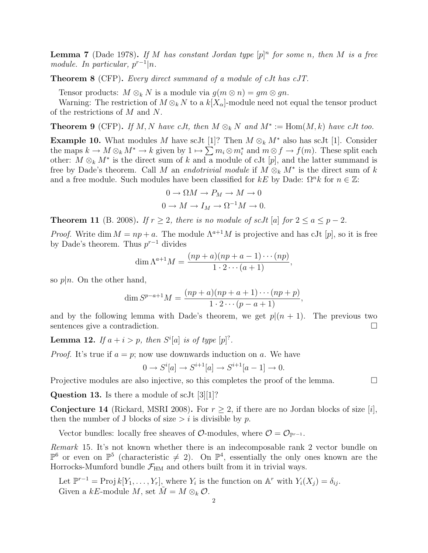**Lemma 7** (Dade 1978). If M has constant Jordan type  $[p]^n$  for some n, then M is a free module. In particular,  $p^{r-1}|n$ .

Theorem 8 (CFP). Every direct summand of a module of cJt has cJT.

Tensor products:  $M \otimes_k N$  is a module via  $g(m \otimes n) = gm \otimes gn$ .

Warning: The restriction of  $M \otimes_k N$  to a  $k[X_\alpha]$ -module need not equal the tensor product of the restrictions of M and N.

**Theorem 9** (CFP). If M, N have cJt, then  $M \otimes_k N$  and  $M^* := \text{Hom}(M, k)$  have cJt too.

**Example 10.** What modules M have scJt [1]? Then  $M \otimes_k M^*$  also has scJt [1]. Consider the maps  $k \to M \otimes_k M^* \to k$  given by  $1 \to \sum m_i \otimes m_i^*$  and  $m \otimes f \to f(m)$ . These split each other:  $M \otimes_k M^*$  is the direct sum of k and a module of cJt [p], and the latter summand is free by Dade's theorem. Call M an endotrivial module if  $M \otimes_k M^*$  is the direct sum of k and a free module. Such modules have been classified for kE by Dade:  $\Omega^n k$  for  $n \in \mathbb{Z}$ :

$$
0 \to \Omega M \to P_M \to M \to 0
$$

$$
0 \to M \to I_M \to \Omega^{-1} M \to 0.
$$

**Theorem 11** (B. 2008). If  $r > 2$ , there is no module of scJt [a] for  $2 \le a \le p-2$ .

*Proof.* Write dim  $M = np + a$ . The module  $\Lambda^{a+1}M$  is projective and has cJt [p], so it is free by Dade's theorem. Thus  $p^{r-1}$  divides

$$
\dim \Lambda^{a+1}M = \frac{(np+a)(np+a-1)\cdots(np)}{1\cdot 2\cdots (a+1)},
$$

so  $p|n$ . On the other hand,

$$
\dim S^{p-a+1}M = \frac{(np+a)(np+a+1)\cdots(np+p)}{1\cdot 2\cdots (p-a+1)},
$$

and by the following lemma with Dade's theorem, we get  $p|(n+1)$ . The previous two sentences give a contradiction.

**Lemma 12.** If  $a + i > p$ , then  $S<sup>i</sup>[a]$  is of type  $[p]^?$ .

*Proof.* It's true if  $a = p$ ; now use downwards induction on a. We have

$$
0 \to S^i[a] \to S^{i+1}[a] \to S^{i+1}[a-1] \to 0.
$$

Projective modules are also injective, so this completes the proof of the lemma.

Question 13. Is there a module of scJt [3][1]?

**Conjecture 14** (Rickard, MSRI 2008). For  $r > 2$ , if there are no Jordan blocks of size [i], then the number of J blocks of size  $> i$  is divisible by p.

Vector bundles: locally free sheaves of  $\mathcal{O}$ -modules, where  $\mathcal{O} = \mathcal{O}_{p^{r-1}}$ .

Remark 15. It's not known whether there is an indecomposable rank 2 vector bundle on  $\mathbb{P}^6$  or even on  $\mathbb{P}^5$  (characteristic  $\neq 2$ ). On  $\mathbb{P}^4$ , essentially the only ones known are the Horrocks-Mumford bundle  $\mathcal{F}_{\text{HM}}$  and others built from it in trivial ways.

Let  $\mathbb{P}^{r-1} = \text{Proj } k[Y_1, \ldots, Y_r],$  where  $Y_i$  is the function on  $\mathbb{A}^r$  with  $Y_i(X_j) = \delta_{ij}$ . Given a  $kE$ -module M, set  $\tilde{M} = M \otimes_k \mathcal{O}$ .